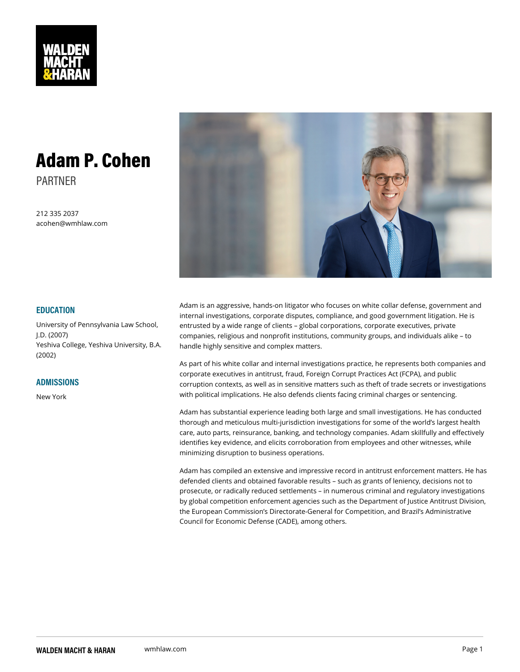## Adam P. Cohen PARTNER

212 335 2037 acohen@wmhlaw.com

#### EDUCATION

Adam is an aggressive, hands-on litigator who focuses on white collar internal investigations, corporate disputes, compliance, and good gov University of Pennsylvania Lawn Srouts and by a wide range of clients global corporations, corporate e companies, religious and nonprofit institutions, community groups, an Yeshiva College, Yeshiva University, hBgAly sensitive and complex matters. J.D. (2007) (2002)

### ADMISSIONS

New York

As part of his white collar and internal investigations practice, he rep corporate executives in antitrust, fraud, Foreign Corrupt Practices Ac corruption contexts, as well as in sensitive matters such as theft of ti with political implications. He also defends clients facing criminal cha

Adam has substantial experience leading both large and small investig thorough and meticulous multi-jurisdiction investigations for some of care, auto parts, reinsurance, banking, and technology companies. Ad identifies key evidence, and elicits corroboration from employees and minimizing disruption to business operations.

Adam has compiled an extensive and impressive record in antitrust en defended clients and obtained favorable results such as grants of le prosecute, or radically reduced settlements in numerous criminal an by global competition enforcement agencies such as the Department o the European Commission s Directorate-General for Competition, and Council for Economic Defense (CADE), among others.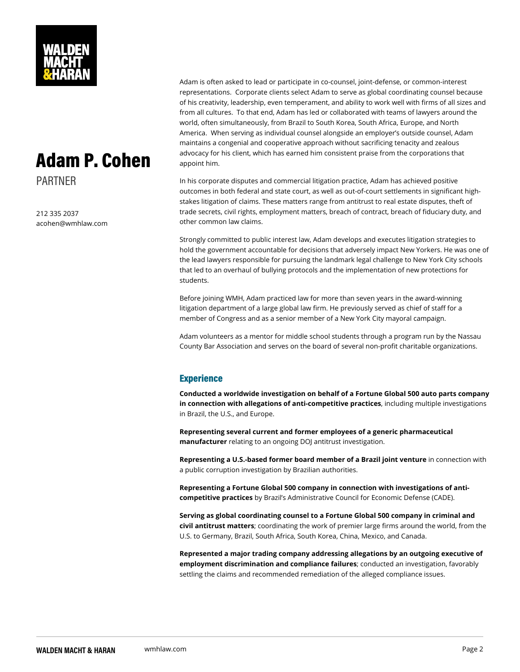$A$  d a m  $P$  .  $\mathsf{G}^{\text{dvoc}}$   $\mathsf{G}^{\text{cyc}}$  for his client, which has earned him consistent praise from the constraint problem on the conditions of  $\mathsf{G}$ Adam is often asked to lead or participate in co-counsel, joint-defens representations. Corporate clients select Adam to serve as global co of his creativity, leadership, even temperament, and ability to work w from all cultures. To that end, Adam has led or collaborated with tea world, often simultaneously, from Brazil to South Korea, South Africa, America. When serving as individual counsel alongside an employer s maintains a congenial and cooperative approach without sacrificing te

## $ap$ oint th $\overline{\mathbf{w}}$ .

In his corporate disputes and commercial litigation practice, Adam ha outcomes in both federal and state court, as well as out-of-court settl stakes litigation of claims. These matters range from antitrust to real trade secrets, civil rights, employment matters, breach of contract, br other common law claims.

Strongly committed to public interest law, Adam develops and execute hold the government accountable for decisions that adversely impact the lead lawyers responsible for pursuing the landmark legal challeng that led to an overhaul of bullying protocols and the implementation o students.

Before joining WMH, Adam practiced law for more than seven years in litigation department of a large global law firm. He previously served member of Congress and as a senior member of a New York City mayo

Adam volunteers as a mentor for middle school students through a pro County Bar Association and serves on the board of several non-profit

### Experience

Conducted a worldwide investigation on behalf of a Fortune Global 50 in connection with allegations of anti-compentitiuveling amounidensie investiger in Brazil, the U.S., and Europe.

Representing several current and former employees of a generic pharm manufactureerlating to an ongoing DOJ antitrust investigation.

Representing a U.S.-based former board member of an Barcanznie connection went a public corruption investigation by Brazilian authorities.

Representing a Fortune Global 500 company in connection with invest competitive practices azil s Administrative Council for Economic Defen

Serving as global coordinating counsel to a Fortune Global 500 compa civil antitrust matteorsdinating the work of premier large firms around t U.S. to Germany, Brazil, South Africa, South Korea, China, Mexico, and

Represented a major trading company addressing allegations by an ou employment discrimination and compliance failud an investigation, favorably settling the claims and recommended remediation of the alleged comp

# PARTNER

212 335 2037 acohen@wmhlaw.com